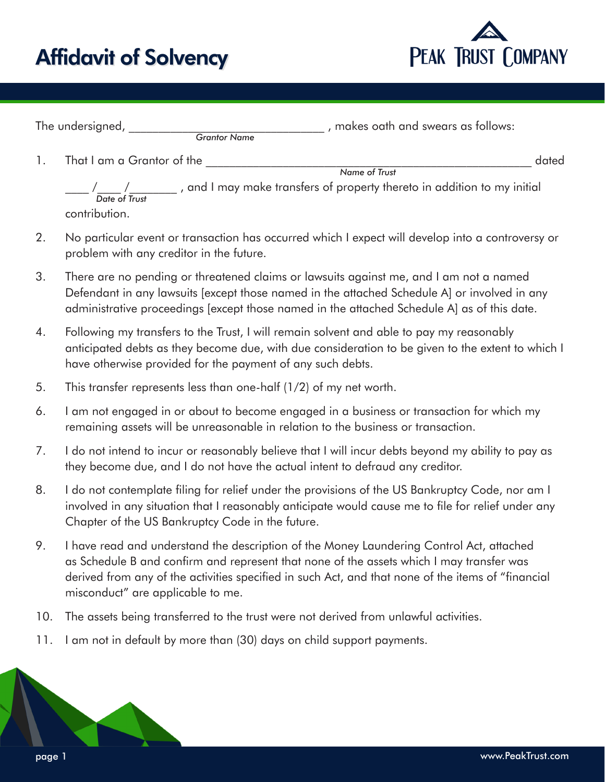## Affidavit of Solvency



| The undersigned,           | , makes oath and swears as follows:<br><b>Grantor Name</b>               |       |
|----------------------------|--------------------------------------------------------------------------|-------|
| That I am a Grantor of the |                                                                          | dated |
|                            | Name of Trust                                                            |       |
| Date of Trust              | , and I may make transfers of property thereto in addition to my initial |       |
| contribution.              |                                                                          |       |

- 2. No particular event or transaction has occurred which I expect will develop into a controversy or problem with any creditor in the future.
- 3. There are no pending or threatened claims or lawsuits against me, and I am not a named Defendant in any lawsuits [except those named in the attached Schedule A] or involved in any administrative proceedings [except those named in the attached Schedule A] as of this date.
- 4. Following my transfers to the Trust, I will remain solvent and able to pay my reasonably anticipated debts as they become due, with due consideration to be given to the extent to which I have otherwise provided for the payment of any such debts.
- 5. This transfer represents less than one-half (1/2) of my net worth.
- 6. I am not engaged in or about to become engaged in a business or transaction for which my remaining assets will be unreasonable in relation to the business or transaction.
- 7. I do not intend to incur or reasonably believe that I will incur debts beyond my ability to pay as they become due, and I do not have the actual intent to defraud any creditor.
- 8. I do not contemplate filing for relief under the provisions of the US Bankruptcy Code, nor am I involved in any situation that I reasonably anticipate would cause me to file for relief under any Chapter of the US Bankruptcy Code in the future.
- 9. I have read and understand the description of the Money Laundering Control Act, attached as Schedule B and confirm and represent that none of the assets which I may transfer was derived from any of the activities specified in such Act, and that none of the items of "financial misconduct" are applicable to me.
- 10. The assets being transferred to the trust were not derived from unlawful activities.
- 11. I am not in default by more than (30) days on child support payments.

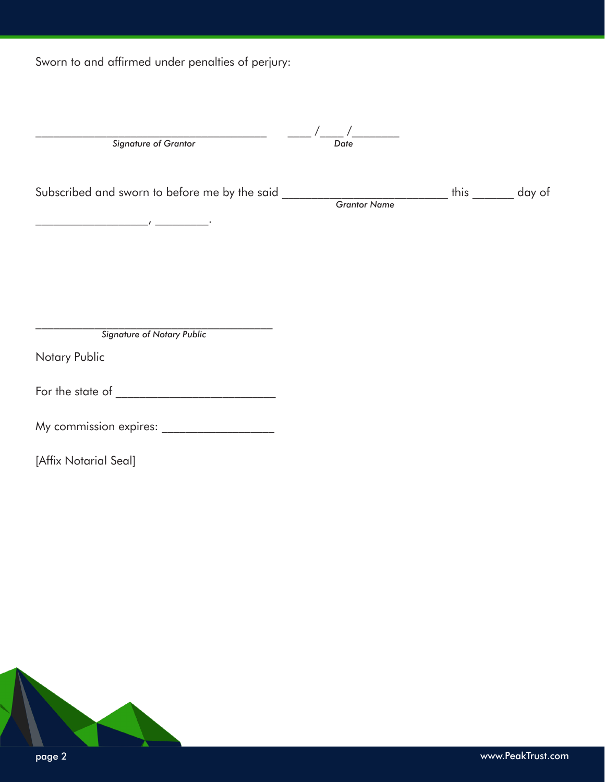Sworn to and affirmed under penalties of perjury:

| <b>Signature of Grantor</b>                       | Date |             |
|---------------------------------------------------|------|-------------|
| Subscribed and sworn to before me by the said ___ |      | this day of |
|                                                   |      |             |
| $\overline{1}$                                    |      |             |
|                                                   |      |             |
|                                                   |      |             |
|                                                   |      |             |
|                                                   |      |             |
| <b>Signature of Notary Public</b>                 |      |             |
| Notary Public                                     |      |             |
| For the state of                                  |      |             |
| My commission expires:                            |      |             |
|                                                   |      |             |

[Affix Notarial Seal]

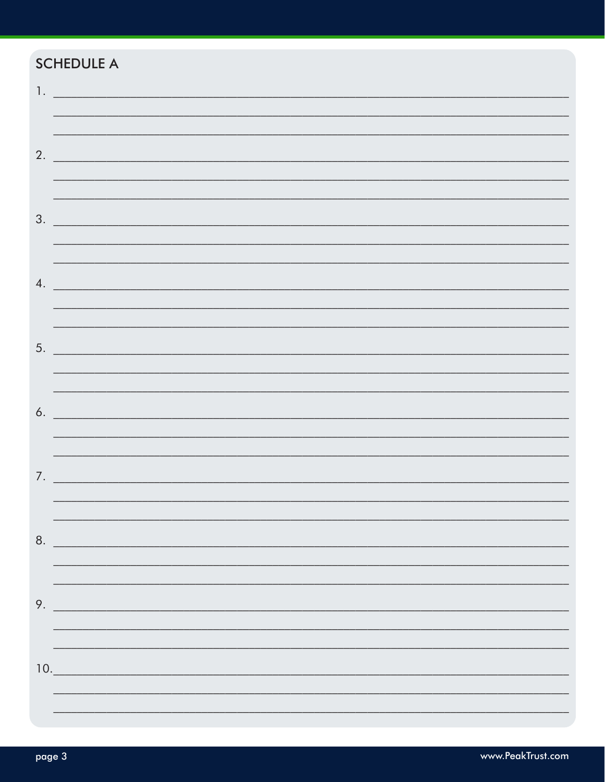## **SCHEDULE A**

| <u>1.</u> <u>— Maria Maria Maria Maria M</u> |
|----------------------------------------------|
|                                              |
| 2.                                           |
|                                              |
|                                              |
| $\frac{1}{2}$                                |
|                                              |
|                                              |
| $\mathcal{A}$ .                              |
|                                              |
| 5.                                           |
|                                              |
|                                              |
| $\delta$ .                                   |
|                                              |
| 7.                                           |
|                                              |
|                                              |
| 8.                                           |
|                                              |
|                                              |
| 9.                                           |
|                                              |
| 10.                                          |
|                                              |
|                                              |